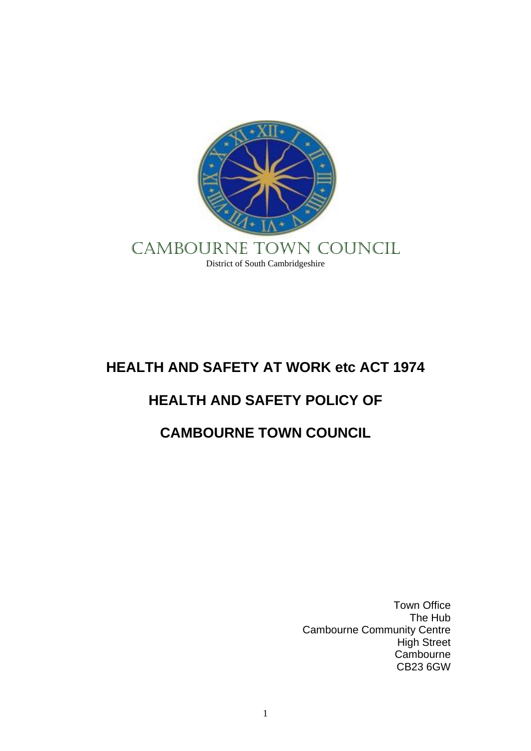

# **HEALTH AND SAFETY AT WORK etc ACT 1974**

# **HEALTH AND SAFETY POLICY OF**

# **CAMBOURNE TOWN COUNCIL**

Town Office The Hub Cambourne Community Centre High Street Cambourne CB23 6GW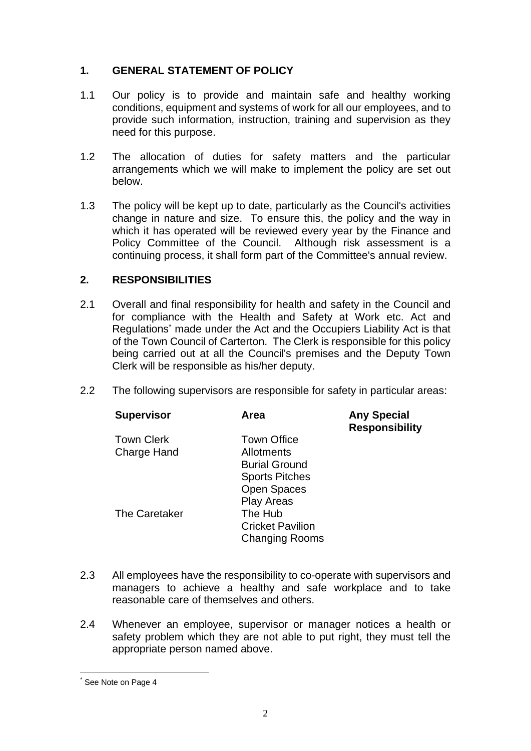# **1. GENERAL STATEMENT OF POLICY**

- 1.1 Our policy is to provide and maintain safe and healthy working conditions, equipment and systems of work for all our employees, and to provide such information, instruction, training and supervision as they need for this purpose.
- 1.2 The allocation of duties for safety matters and the particular arrangements which we will make to implement the policy are set out below.
- 1.3 The policy will be kept up to date, particularly as the Council's activities change in nature and size. To ensure this, the policy and the way in which it has operated will be reviewed every year by the Finance and Policy Committee of the Council. Although risk assessment is a continuing process, it shall form part of the Committee's annual review.

# **2. RESPONSIBILITIES**

- 2.1 Overall and final responsibility for health and safety in the Council and for compliance with the Health and Safety at Work etc. Act and Regulations\* made under the Act and the Occupiers Liability Act is that of the Town Council of Carterton. The Clerk is responsible for this policy being carried out at all the Council's premises and the Deputy Town Clerk will be responsible as his/her deputy.
- 2.2 The following supervisors are responsible for safety in particular areas:

| <b>Supervisor</b>  | Area                    | <b>Any Special</b><br><b>Responsibility</b> |
|--------------------|-------------------------|---------------------------------------------|
| <b>Town Clerk</b>  | <b>Town Office</b>      |                                             |
| <b>Charge Hand</b> | Allotments              |                                             |
|                    | <b>Burial Ground</b>    |                                             |
|                    | <b>Sports Pitches</b>   |                                             |
|                    | <b>Open Spaces</b>      |                                             |
|                    | <b>Play Areas</b>       |                                             |
| The Caretaker      | The Hub                 |                                             |
|                    | <b>Cricket Pavilion</b> |                                             |
|                    | <b>Changing Rooms</b>   |                                             |

- 2.3 All employees have the responsibility to co-operate with supervisors and managers to achieve a healthy and safe workplace and to take reasonable care of themselves and others.
- 2.4 Whenever an employee, supervisor or manager notices a health or safety problem which they are not able to put right, they must tell the appropriate person named above.

See Note on Page 4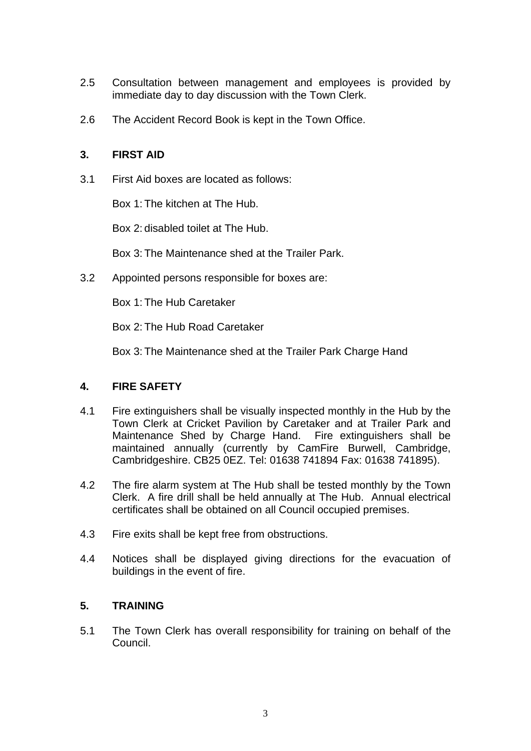- 2.5 Consultation between management and employees is provided by immediate day to day discussion with the Town Clerk.
- 2.6 The Accident Record Book is kept in the Town Office.

## **3. FIRST AID**

3.1 First Aid boxes are located as follows:

Box 1: The kitchen at The Hub.

Box 2: disabled toilet at The Hub.

Box 3: The Maintenance shed at the Trailer Park.

3.2 Appointed persons responsible for boxes are:

Box 1: The Hub Caretaker

Box 2: The Hub Road Caretaker

Box 3: The Maintenance shed at the Trailer Park Charge Hand

# **4. FIRE SAFETY**

- 4.1 Fire extinguishers shall be visually inspected monthly in the Hub by the Town Clerk at Cricket Pavilion by Caretaker and at Trailer Park and Maintenance Shed by Charge Hand. Fire extinguishers shall be maintained annually (currently by CamFire Burwell, Cambridge, Cambridgeshire. CB25 0EZ. Tel: 01638 741894 Fax: 01638 741895).
- 4.2 The fire alarm system at The Hub shall be tested monthly by the Town Clerk. A fire drill shall be held annually at The Hub. Annual electrical certificates shall be obtained on all Council occupied premises.
- 4.3 Fire exits shall be kept free from obstructions.
- 4.4 Notices shall be displayed giving directions for the evacuation of buildings in the event of fire.

# **5. TRAINING**

5.1 The Town Clerk has overall responsibility for training on behalf of the Council.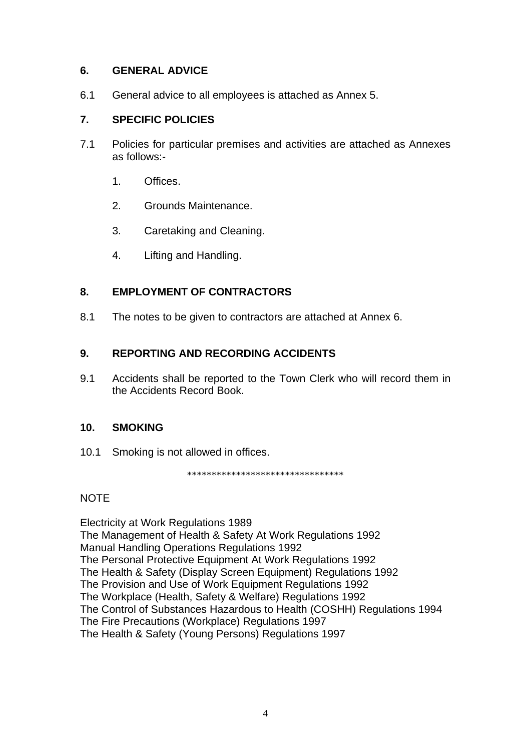# **6. GENERAL ADVICE**

6.1 General advice to all employees is attached as Annex 5.

### **7. SPECIFIC POLICIES**

- 7.1 Policies for particular premises and activities are attached as Annexes as follows:-
	- 1. Offices.
	- 2. Grounds Maintenance.
	- 3. Caretaking and Cleaning.
	- 4. Lifting and Handling.

# **8. EMPLOYMENT OF CONTRACTORS**

8.1 The notes to be given to contractors are attached at Annex 6.

### **9. REPORTING AND RECORDING ACCIDENTS**

9.1 Accidents shall be reported to the Town Clerk who will record them in the Accidents Record Book.

#### **10. SMOKING**

10.1 Smoking is not allowed in offices.

\*\*\*\*\*\*\*\*\*\*\*\*\*\*\*\*\*\*\*\*\*\*\*\*\*\*\*\*\*\*\*\*

#### NOTE

Electricity at Work Regulations 1989 The Management of Health & Safety At Work Regulations 1992 Manual Handling Operations Regulations 1992 The Personal Protective Equipment At Work Regulations 1992 The Health & Safety (Display Screen Equipment) Regulations 1992 The Provision and Use of Work Equipment Regulations 1992 The Workplace (Health, Safety & Welfare) Regulations 1992 The Control of Substances Hazardous to Health (COSHH) Regulations 1994 The Fire Precautions (Workplace) Regulations 1997 The Health & Safety (Young Persons) Regulations 1997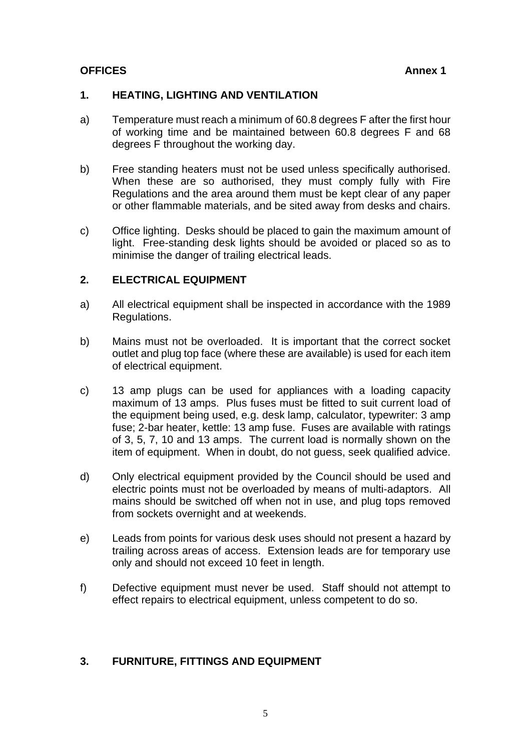## **OFFICES Annex 1**

### **1. HEATING, LIGHTING AND VENTILATION**

- a) Temperature must reach a minimum of 60.8 degrees F after the first hour of working time and be maintained between 60.8 degrees F and 68 degrees F throughout the working day.
- b) Free standing heaters must not be used unless specifically authorised. When these are so authorised, they must comply fully with Fire Regulations and the area around them must be kept clear of any paper or other flammable materials, and be sited away from desks and chairs.
- c) Office lighting. Desks should be placed to gain the maximum amount of light. Free-standing desk lights should be avoided or placed so as to minimise the danger of trailing electrical leads.

# **2. ELECTRICAL EQUIPMENT**

- a) All electrical equipment shall be inspected in accordance with the 1989 Regulations.
- b) Mains must not be overloaded. It is important that the correct socket outlet and plug top face (where these are available) is used for each item of electrical equipment.
- c) 13 amp plugs can be used for appliances with a loading capacity maximum of 13 amps. Plus fuses must be fitted to suit current load of the equipment being used, e.g. desk lamp, calculator, typewriter: 3 amp fuse; 2-bar heater, kettle: 13 amp fuse. Fuses are available with ratings of 3, 5, 7, 10 and 13 amps. The current load is normally shown on the item of equipment. When in doubt, do not guess, seek qualified advice.
- d) Only electrical equipment provided by the Council should be used and electric points must not be overloaded by means of multi-adaptors. All mains should be switched off when not in use, and plug tops removed from sockets overnight and at weekends.
- e) Leads from points for various desk uses should not present a hazard by trailing across areas of access. Extension leads are for temporary use only and should not exceed 10 feet in length.
- f) Defective equipment must never be used. Staff should not attempt to effect repairs to electrical equipment, unless competent to do so.

# **3. FURNITURE, FITTINGS AND EQUIPMENT**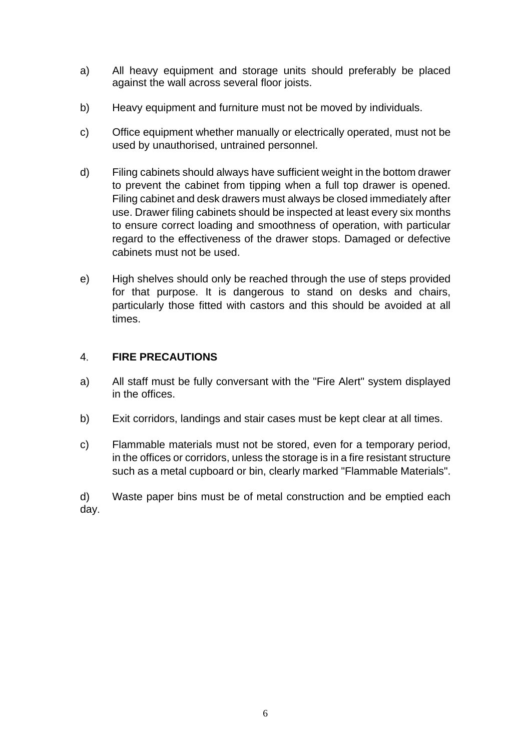- a) All heavy equipment and storage units should preferably be placed against the wall across several floor joists.
- b) Heavy equipment and furniture must not be moved by individuals.
- c) Office equipment whether manually or electrically operated, must not be used by unauthorised, untrained personnel.
- d) Filing cabinets should always have sufficient weight in the bottom drawer to prevent the cabinet from tipping when a full top drawer is opened. Filing cabinet and desk drawers must always be closed immediately after use. Drawer filing cabinets should be inspected at least every six months to ensure correct loading and smoothness of operation, with particular regard to the effectiveness of the drawer stops. Damaged or defective cabinets must not be used.
- e) High shelves should only be reached through the use of steps provided for that purpose. It is dangerous to stand on desks and chairs, particularly those fitted with castors and this should be avoided at all times.

# 4. **FIRE PRECAUTIONS**

- a) All staff must be fully conversant with the "Fire Alert" system displayed in the offices.
- b) Exit corridors, landings and stair cases must be kept clear at all times.
- c) Flammable materials must not be stored, even for a temporary period, in the offices or corridors, unless the storage is in a fire resistant structure such as a metal cupboard or bin, clearly marked "Flammable Materials".

d) Waste paper bins must be of metal construction and be emptied each day.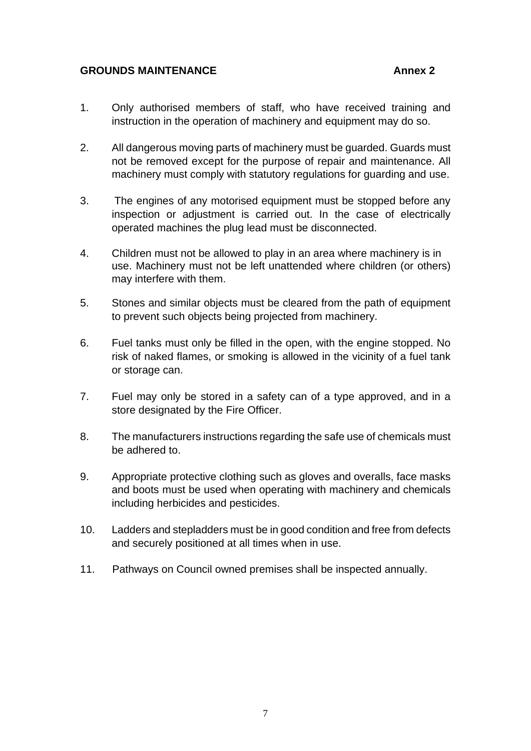#### **GROUNDS MAINTENANCE** Annex 2

- 1. Only authorised members of staff, who have received training and instruction in the operation of machinery and equipment may do so.
- 2. All dangerous moving parts of machinery must be guarded. Guards must not be removed except for the purpose of repair and maintenance. All machinery must comply with statutory regulations for guarding and use.
- 3. The engines of any motorised equipment must be stopped before any inspection or adjustment is carried out. In the case of electrically operated machines the plug lead must be disconnected.
- 4. Children must not be allowed to play in an area where machinery is in use. Machinery must not be left unattended where children (or others) may interfere with them.
- 5. Stones and similar objects must be cleared from the path of equipment to prevent such objects being projected from machinery.
- 6. Fuel tanks must only be filled in the open, with the engine stopped. No risk of naked flames, or smoking is allowed in the vicinity of a fuel tank or storage can.
- 7. Fuel may only be stored in a safety can of a type approved, and in a store designated by the Fire Officer.
- 8. The manufacturers instructions regarding the safe use of chemicals must be adhered to.
- 9. Appropriate protective clothing such as gloves and overalls, face masks and boots must be used when operating with machinery and chemicals including herbicides and pesticides.
- 10. Ladders and stepladders must be in good condition and free from defects and securely positioned at all times when in use.
- 11. Pathways on Council owned premises shall be inspected annually.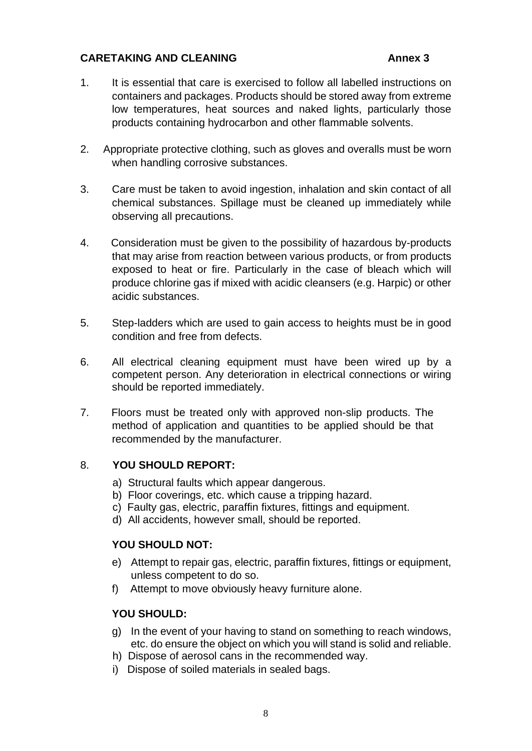### **CARETAKING AND CLEANING Annex 3**

- 1. It is essential that care is exercised to follow all labelled instructions on containers and packages. Products should be stored away from extreme low temperatures, heat sources and naked lights, particularly those products containing hydrocarbon and other flammable solvents.
- 2. Appropriate protective clothing, such as gloves and overalls must be worn when handling corrosive substances.
- 3. Care must be taken to avoid ingestion, inhalation and skin contact of all chemical substances. Spillage must be cleaned up immediately while observing all precautions.
- 4. Consideration must be given to the possibility of hazardous by-products that may arise from reaction between various products, or from products exposed to heat or fire. Particularly in the case of bleach which will produce chlorine gas if mixed with acidic cleansers (e.g. Harpic) or other acidic substances.
- 5. Step-ladders which are used to gain access to heights must be in good condition and free from defects.
- 6. All electrical cleaning equipment must have been wired up by a competent person. Any deterioration in electrical connections or wiring should be reported immediately.
- 7. Floors must be treated only with approved non-slip products. The method of application and quantities to be applied should be that recommended by the manufacturer.

#### 8. **YOU SHOULD REPORT:**

- a) Structural faults which appear dangerous.
- b) Floor coverings, etc. which cause a tripping hazard.
- c) Faulty gas, electric, paraffin fixtures, fittings and equipment.
- d) All accidents, however small, should be reported.

#### **YOU SHOULD NOT:**

- e) Attempt to repair gas, electric, paraffin fixtures, fittings or equipment, unless competent to do so.
- f) Attempt to move obviously heavy furniture alone.

#### **YOU SHOULD:**

- g) In the event of your having to stand on something to reach windows, etc. do ensure the object on which you will stand is solid and reliable.
- h) Dispose of aerosol cans in the recommended way.
- i) Dispose of soiled materials in sealed bags.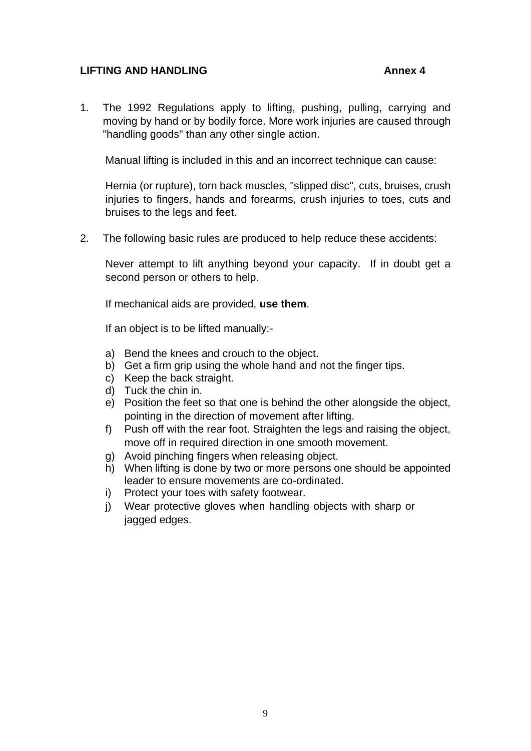### **LIFTING AND HANDLING Annex 4**

1. The 1992 Regulations apply to lifting, pushing, pulling, carrying and moving by hand or by bodily force. More work injuries are caused through "handling goods" than any other single action.

Manual lifting is included in this and an incorrect technique can cause:

Hernia (or rupture), torn back muscles, "slipped disc", cuts, bruises, crush injuries to fingers, hands and forearms, crush injuries to toes, cuts and bruises to the legs and feet.

2. The following basic rules are produced to help reduce these accidents:

Never attempt to lift anything beyond your capacity. If in doubt get a second person or others to help.

If mechanical aids are provided, **use them**.

If an object is to be lifted manually:-

- a) Bend the knees and crouch to the object.
- b) Get a firm grip using the whole hand and not the finger tips.
- c) Keep the back straight.
- d) Tuck the chin in.
- e) Position the feet so that one is behind the other alongside the object, pointing in the direction of movement after lifting.
- f) Push off with the rear foot. Straighten the legs and raising the object, move off in required direction in one smooth movement.
- g) Avoid pinching fingers when releasing object.
- h) When lifting is done by two or more persons one should be appointed leader to ensure movements are co-ordinated.
- i) Protect your toes with safety footwear.
- j) Wear protective gloves when handling objects with sharp or jagged edges.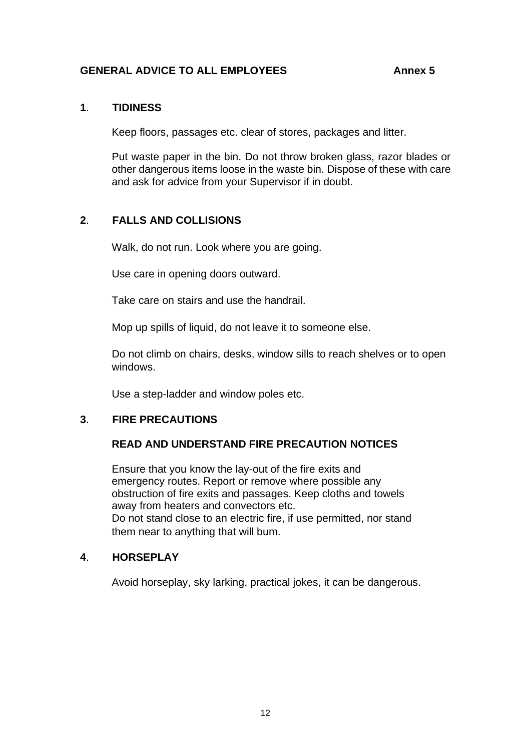### GENERAL ADVICE TO ALL EMPLOYEES Annex 5

#### **1**. **TIDINESS**

Keep floors, passages etc. clear of stores, packages and litter.

Put waste paper in the bin. Do not throw broken glass, razor blades or other dangerous items loose in the waste bin. Dispose of these with care and ask for advice from your Supervisor if in doubt.

# **2**. **FALLS AND COLLISIONS**

Walk, do not run. Look where you are going.

Use care in opening doors outward.

Take care on stairs and use the handrail.

Mop up spills of liquid, do not leave it to someone else.

Do not climb on chairs, desks, window sills to reach shelves or to open windows.

Use a step-ladder and window poles etc.

# **3**. **FIRE PRECAUTIONS**

#### **READ AND UNDERSTAND FIRE PRECAUTION NOTICES**

Ensure that you know the lay-out of the fire exits and emergency routes. Report or remove where possible any obstruction of fire exits and passages. Keep cloths and towels away from heaters and convectors etc. Do not stand close to an electric fire, if use permitted, nor stand them near to anything that will bum.

#### **4**. **HORSEPLAY**

Avoid horseplay, sky larking, practical jokes, it can be dangerous.